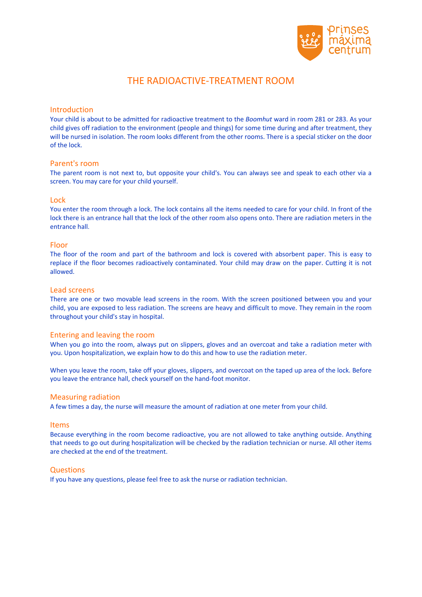

# THE RADIOACTIVE-TREATMENT ROOM

### **Introduction**

Your child is about to be admitted for radioactive treatment to the *Boomhut* ward in room 281 or 283. As your child gives off radiation to the environment (people and things) for some time during and after treatment, they will be nursed in isolation. The room looks different from the other rooms. There is a special sticker on the door of the lock.

#### Parent's room

The parent room is not next to, but opposite your child's. You can always see and speak to each other via a screen. You may care for your child yourself.

#### Lock

You enter the room through a lock. The lock contains all the items needed to care for your child. In front of the lock there is an entrance hall that the lock of the other room also opens onto. There are radiation meters in the entrance hall.

#### Floor

The floor of the room and part of the bathroom and lock is covered with absorbent paper. This is easy to replace if the floor becomes radioactively contaminated. Your child may draw on the paper. Cutting it is not allowed.

#### Lead screens

There are one or two movable lead screens in the room. With the screen positioned between you and your child, you are exposed to less radiation. The screens are heavy and difficult to move. They remain in the room throughout your child's stay in hospital.

#### Entering and leaving the room

When you go into the room, always put on slippers, gloves and an overcoat and take a radiation meter with you. Upon hospitalization, we explain how to do this and how to use the radiation meter.

When you leave the room, take off your gloves, slippers, and overcoat on the taped up area of the lock. Before you leave the entrance hall, check yourself on the hand-foot monitor.

#### Measuring radiation

A few times a day, the nurse will measure the amount of radiation at one meter from your child.

#### Items

Because everything in the room become radioactive, you are not allowed to take anything outside. Anything that needs to go out during hospitalization will be checked by the radiation technician or nurse. All other items are checked at the end of the treatment.

#### **Questions**

If you have any questions, please feel free to ask the nurse or radiation technician.